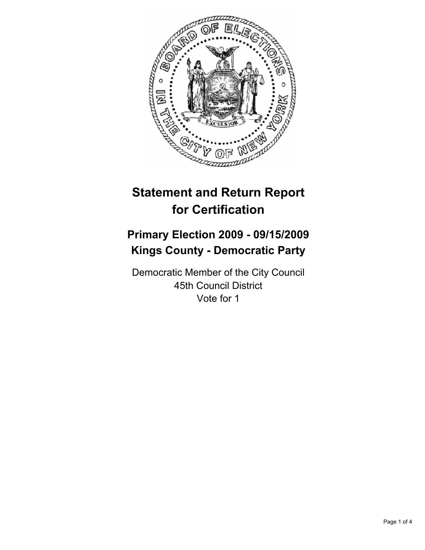

# **Statement and Return Report for Certification**

## **Primary Election 2009 - 09/15/2009 Kings County - Democratic Party**

Democratic Member of the City Council 45th Council District Vote for 1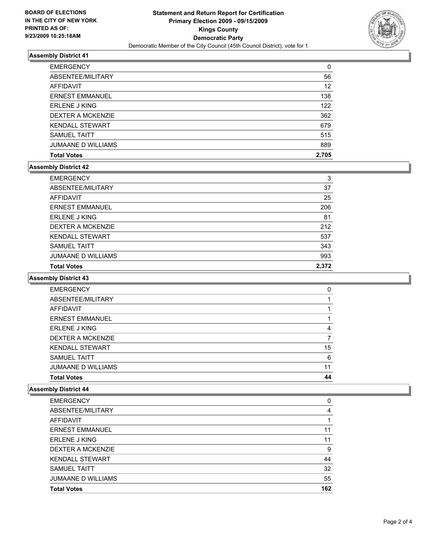

### **Assembly District 41**

| <b>Total Votes</b>        | 2.705 |
|---------------------------|-------|
| <b>JUMAANE D WILLIAMS</b> | 889   |
| <b>SAMUEL TAITT</b>       | 515   |
| <b>KENDALL STEWART</b>    | 679   |
| <b>DEXTER A MCKENZIE</b>  | 362   |
| <b>ERLENE J KING</b>      | 122   |
| <b>ERNEST EMMANUEL</b>    | 138   |
| AFFIDAVIT                 | 12    |
| ABSENTEE/MILITARY         | 56    |
| <b>EMERGENCY</b>          | 0     |

### **Assembly District 42**

| <b>Total Votes</b>        | 2.372 |
|---------------------------|-------|
| <b>JUMAANE D WILLIAMS</b> | 993   |
| <b>SAMUEL TAITT</b>       | 343   |
| <b>KENDALL STEWART</b>    | 537   |
| DEXTER A MCKENZIE         | 212   |
| <b>ERLENE J KING</b>      | 81    |
| <b>ERNEST EMMANUEL</b>    | 206   |
| AFFIDAVIT                 | 25    |
| ABSENTEE/MILITARY         | 37    |
| <b>EMERGENCY</b>          | 3     |

#### **Assembly District 43**

| <b>EMERGENCY</b>          | 0  |
|---------------------------|----|
| ABSENTEE/MILITARY         |    |
| <b>AFFIDAVIT</b>          |    |
| <b>ERNEST EMMANUEL</b>    |    |
| <b>ERLENE J KING</b>      | 4  |
| <b>DEXTER A MCKENZIE</b>  |    |
| <b>KENDALL STEWART</b>    | 15 |
| <b>SAMUEL TAITT</b>       | 6  |
| <b>JUMAANE D WILLIAMS</b> | 11 |
| <b>Total Votes</b>        | 44 |

### **Assembly District 44**

| <b>EMERGENCY</b>          | 0   |
|---------------------------|-----|
| ABSENTEE/MILITARY         | 4   |
| AFFIDAVIT                 |     |
| <b>ERNEST EMMANUEL</b>    | 11  |
| <b>ERLENE J KING</b>      | 11  |
| DEXTER A MCKENZIE         | 9   |
| <b>KENDALL STEWART</b>    | 44  |
| <b>SAMUEL TAITT</b>       | 32  |
| <b>JUMAANE D WILLIAMS</b> | 55  |
| <b>Total Votes</b>        | 162 |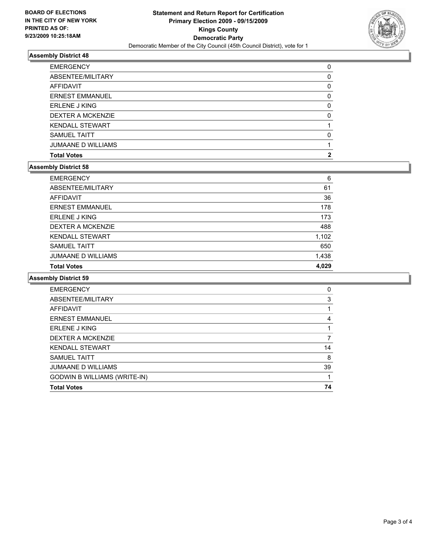

### **Assembly District 48**

| <b>Total Votes</b>        | 2 |
|---------------------------|---|
| <b>JUMAANE D WILLIAMS</b> |   |
| <b>SAMUEL TAITT</b>       | 0 |
| <b>KENDALL STEWART</b>    |   |
| DEXTER A MCKENZIE         | 0 |
| <b>ERLENE J KING</b>      | 0 |
| <b>ERNEST EMMANUEL</b>    | 0 |
| AFFIDAVIT                 | 0 |
| ABSENTEE/MILITARY         | 0 |
| <b>EMERGENCY</b>          | 0 |

### **Assembly District 58**

| <b>Total Votes</b>        | 4.029 |
|---------------------------|-------|
| <b>JUMAANE D WILLIAMS</b> | 1,438 |
| <b>SAMUEL TAITT</b>       | 650   |
| <b>KENDALL STEWART</b>    | 1,102 |
| <b>DEXTER A MCKENZIE</b>  | 488   |
| <b>ERLENE J KING</b>      | 173   |
| <b>ERNEST EMMANUEL</b>    | 178   |
| AFFIDAVIT                 | 36    |
| ABSENTEE/MILITARY         | 61    |
| <b>EMERGENCY</b>          | 6     |

#### **Assembly District 59**

| <b>EMERGENCY</b>                    | 0  |
|-------------------------------------|----|
| ABSENTEE/MILITARY                   | 3  |
| <b>AFFIDAVIT</b>                    |    |
| <b>ERNEST EMMANUEL</b>              | 4  |
| <b>ERLENE J KING</b>                |    |
| <b>DEXTER A MCKENZIE</b>            |    |
| <b>KENDALL STEWART</b>              | 14 |
| <b>SAMUEL TAITT</b>                 | 8  |
| <b>JUMAANE D WILLIAMS</b>           | 39 |
| <b>GODWIN B WILLIAMS (WRITE-IN)</b> | 1  |
| <b>Total Votes</b>                  | 74 |